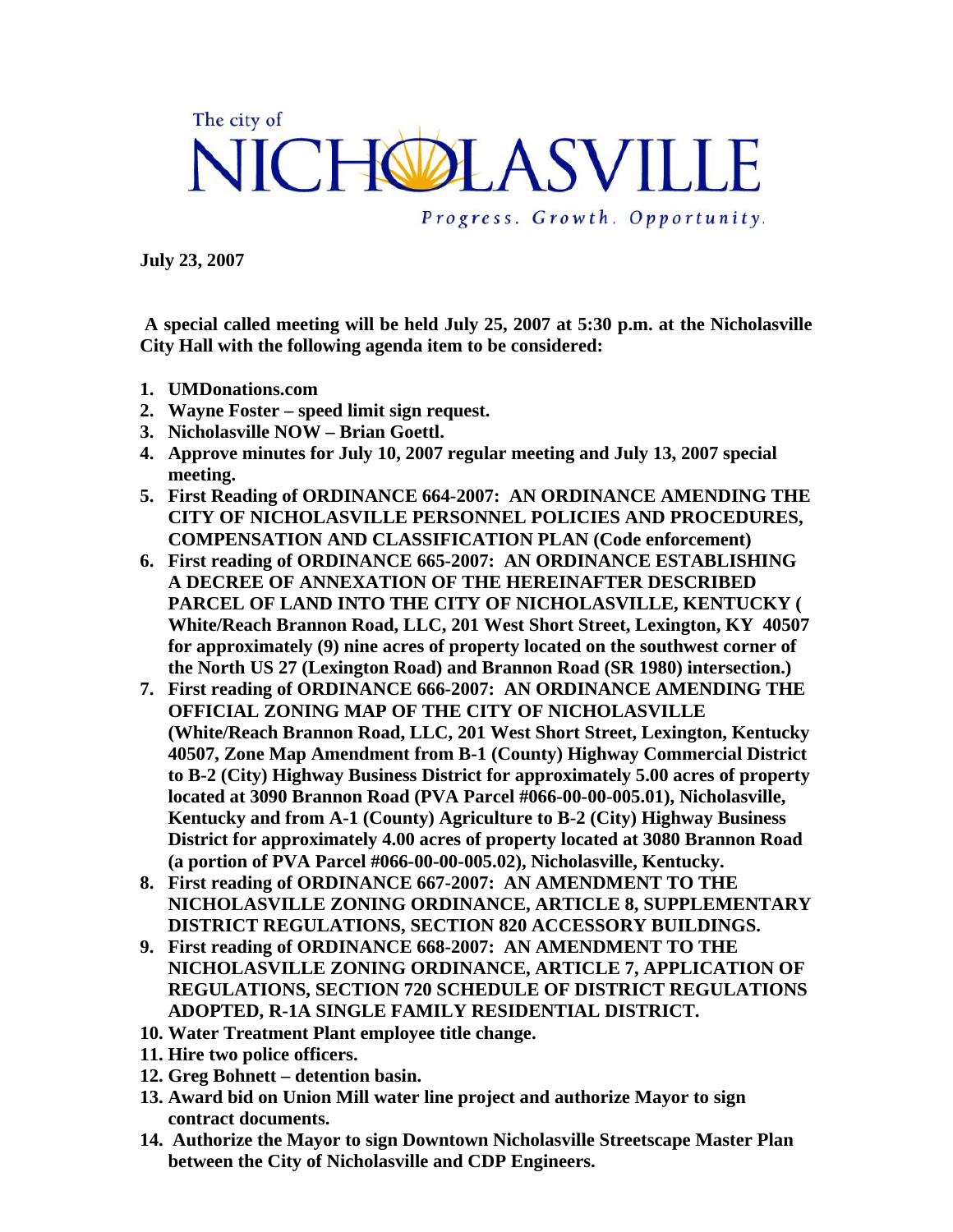## The city of NICHOLASVILLE Progress. Growth. Opportunity.

**July 23, 2007** 

 **A special called meeting will be held July 25, 2007 at 5:30 p.m. at the Nicholasville City Hall with the following agenda item to be considered:** 

- **1. UMDonations.com**
- **2. Wayne Foster speed limit sign request.**
- **3. Nicholasville NOW Brian Goettl.**
- **4. Approve minutes for July 10, 2007 regular meeting and July 13, 2007 special meeting.**
- **5. First Reading of ORDINANCE 664-2007: AN ORDINANCE AMENDING THE CITY OF NICHOLASVILLE PERSONNEL POLICIES AND PROCEDURES, COMPENSATION AND CLASSIFICATION PLAN (Code enforcement)**
- **6. First reading of ORDINANCE 665-2007: AN ORDINANCE ESTABLISHING A DECREE OF ANNEXATION OF THE HEREINAFTER DESCRIBED PARCEL OF LAND INTO THE CITY OF NICHOLASVILLE, KENTUCKY ( White/Reach Brannon Road, LLC, 201 West Short Street, Lexington, KY 40507 for approximately (9) nine acres of property located on the southwest corner of the North US 27 (Lexington Road) and Brannon Road (SR 1980) intersection.)**
- **7. First reading of ORDINANCE 666-2007: AN ORDINANCE AMENDING THE OFFICIAL ZONING MAP OF THE CITY OF NICHOLASVILLE (White/Reach Brannon Road, LLC, 201 West Short Street, Lexington, Kentucky 40507, Zone Map Amendment from B-1 (County) Highway Commercial District to B-2 (City) Highway Business District for approximately 5.00 acres of property located at 3090 Brannon Road (PVA Parcel #066-00-00-005.01), Nicholasville, Kentucky and from A-1 (County) Agriculture to B-2 (City) Highway Business District for approximately 4.00 acres of property located at 3080 Brannon Road (a portion of PVA Parcel #066-00-00-005.02), Nicholasville, Kentucky.**
- **8. First reading of ORDINANCE 667-2007: AN AMENDMENT TO THE NICHOLASVILLE ZONING ORDINANCE, ARTICLE 8, SUPPLEMENTARY DISTRICT REGULATIONS, SECTION 820 ACCESSORY BUILDINGS.**
- **9. First reading of ORDINANCE 668-2007: AN AMENDMENT TO THE NICHOLASVILLE ZONING ORDINANCE, ARTICLE 7, APPLICATION OF REGULATIONS, SECTION 720 SCHEDULE OF DISTRICT REGULATIONS ADOPTED, R-1A SINGLE FAMILY RESIDENTIAL DISTRICT.**
- **10. Water Treatment Plant employee title change.**
- **11. Hire two police officers.**
- **12. Greg Bohnett detention basin.**
- **13. Award bid on Union Mill water line project and authorize Mayor to sign contract documents.**
- **14. Authorize the Mayor to sign Downtown Nicholasville Streetscape Master Plan between the City of Nicholasville and CDP Engineers.**